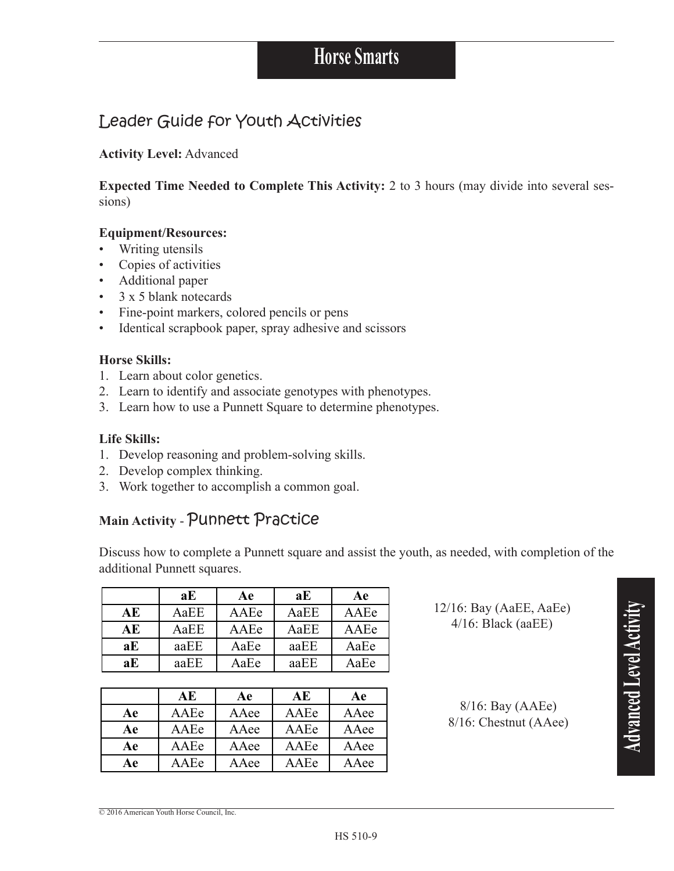## Leader Guide for Youth Activities

#### **Activity Level: Advanced**

**Expected Time Needed to Complete This Activity:** 2 to 3 hours (may divide into several sessions)

#### **Equipment/Resources:**

- Writing utensils  $\bullet$
- Copies of activities
- Additional paper
- $\cdot$  3 x 5 blank notecards
- Fine-point markers, colored pencils or pens
- Identical scrapbook paper, spray adhesive and scissors  $\bullet$

#### **Horse Skills:**

- 1. Learn about color genetics.
- 2. Learn to identify and associate genotypes with phenotypes.
- 3. Learn how to use a Punnett Square to determine phenotypes.

#### **Life Skills:**

- 1. Develop reasoning and problem-solving skills.
- 2. Develop complex thinking.
- 3. Work together to accomplish a common goal.

### Main Activity - Punnett Practice

Discuss how to complete a Punnett square and assist the youth, as needed, with completion of the additional Punnett squares.

|    | aE   | Aе   | aE   | Ae   |
|----|------|------|------|------|
| АE | AaEE | AAEe | AaEE | AAEe |
| АE | AaEE | AAEe | AaEE | AAEe |
| aE | aaEE | AaEe | aaEE | AaEe |
| aE | aaEE | AaEe | aaEE | AaEe |

|    | АE   | Ae   | АE   | Ae   |
|----|------|------|------|------|
| Aе | AAEe | AAee | AAEe | AAee |
| Ae | AAEe | AAee | AAEe | AAee |
| Ae | AAEe | AAee | AAEe | AAee |
| Aе | AAEe | AAee | AAEe | AAee |

 $12/16$ : Bay (AaEE, AaEe)  $4/16$ : Black (aaEE)

> $8/16$ : Bay (AAEe) 8/16: Chestnut (AAee)

© 2016 American Youth Horse Council, Inc.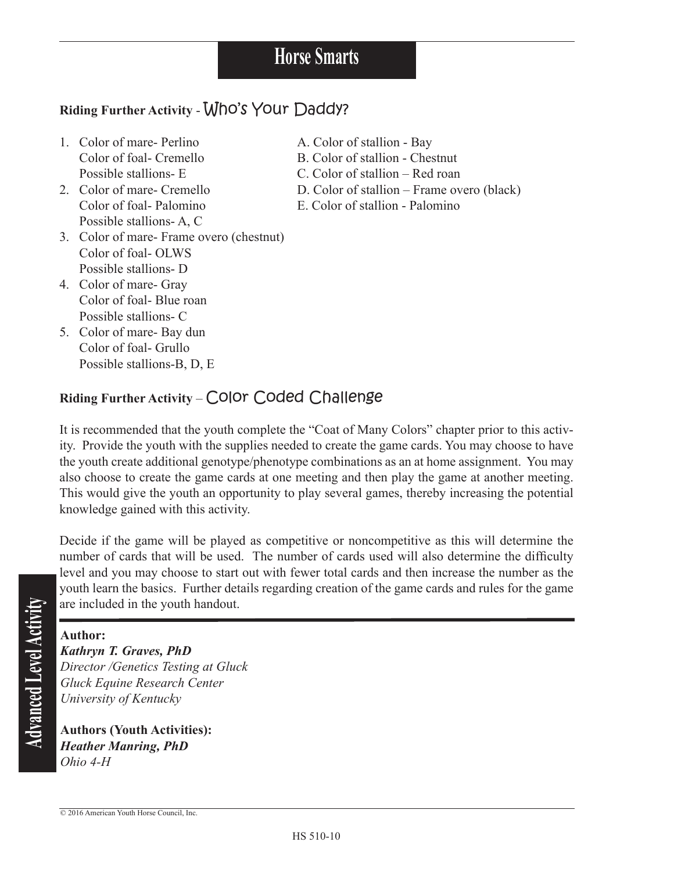HS 510-10

# **Riding Further Activity** - Who's Your Daddy?

- 1. Color of mare- Perlino A. Color of stallion Bay
- Possible stallions- A, C
- 3. Color of mare- Frame overo (chestnut) Color of foal- OLWS Possible stallions- D
- 4. Color of mare- Gray Color of foal- Blue roan Possible stallions- C
- 5. Color of mare- Bay dun Color of foal- Grullo Possible stallions-B, D, E
- 
- Color of foal- Cremello B. Color of stallion Chestnut
- Possible stallions- E C. Color of stallion Red roan
- 2. Color of mare- Cremello D. Color of stallion Frame overo (black)
	- Color of foal- Palomino E. Color of stallion Palomino

# **Riding Further Activity** – Color Coded Challenge

It is recommended that the youth complete the "Coat of Many Colors" chapter prior to this activity. Provide the youth with the supplies needed to create the game cards. You may choose to have the youth create additional genotype/phenotype combinations as an at home assignment. You may also choose to create the game cards at one meeting and then play the game at another meeting. This would give the youth an opportunity to play several games, thereby increasing the potential knowledge gained with this activity.

Decide if the game will be played as competitive or noncompetitive as this will determine the number of cards that will be used. The number of cards used will also determine the difficulty level and you may choose to start out with fewer total cards and then increase the number as the youth learn the basics. Further details regarding creation of the game cards and rules for the game are included in the youth handout.

**Author:**<br> **Author:**<br> **Author:**<br> *Kathryn*<br> *Director*<br> *Gluck Equiversi*<br> **Authors**<br> *Authors Kathryn T. Graves, PhD Director /Genetics Testing at Gluck Gluck Equine Research Center University of Kentucky*

**Authors (Youth Activities):** *Heather Manring, PhD Ohio 4-H*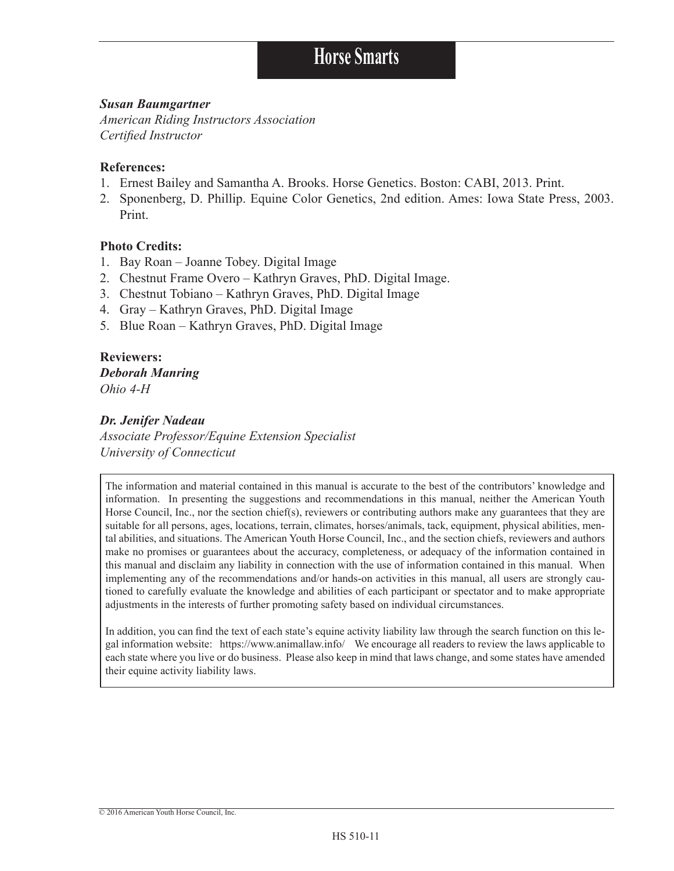#### *Susan Baumgartner*

*American Riding Instructors Association Certified Instructor*

#### **References:**

- 1. Ernest Bailey and Samantha A. Brooks. Horse Genetics. Boston: CABI, 2013. Print.
- 2. Sponenberg, D. Phillip. Equine Color Genetics, 2nd edition. Ames: Iowa State Press, 2003. Print.

#### **Photo Credits:**

- 1. Bay Roan Joanne Tobey. Digital Image
- 2. Chestnut Frame Overo Kathryn Graves, PhD. Digital Image.
- 3. Chestnut Tobiano Kathryn Graves, PhD. Digital Image
- 4. Gray Kathryn Graves, PhD. Digital Image
- 5. Blue Roan Kathryn Graves, PhD. Digital Image

#### **Reviewers:** *Deborah Manring Ohio 4-H*

#### *Dr. Jenifer Nadeau*

*Associate Professor/Equine Extension Specialist University of Connecticut*

The information and material contained in this manual is accurate to the best of the contributors' knowledge and information. In presenting the suggestions and recommendations in this manual, neither the American Youth Horse Council, Inc., nor the section chief(s), reviewers or contributing authors make any guarantees that they are suitable for all persons, ages, locations, terrain, climates, horses/animals, tack, equipment, physical abilities, mental abilities, and situations. The American Youth Horse Council, Inc., and the section chiefs, reviewers and authors make no promises or guarantees about the accuracy, completeness, or adequacy of the information contained in this manual and disclaim any liability in connection with the use of information contained in this manual. When implementing any of the recommendations and/or hands-on activities in this manual, all users are strongly cautioned to carefully evaluate the knowledge and abilities of each participant or spectator and to make appropriate adjustments in the interests of further promoting safety based on individual circumstances.

In addition, you can find the text of each state's equine activity liability law through the search function on this legal information website: https://www.animallaw.info/ We encourage all readers to review the laws applicable to each state where you live or do business. Please also keep in mind that laws change, and some states have amended their equine activity liability laws.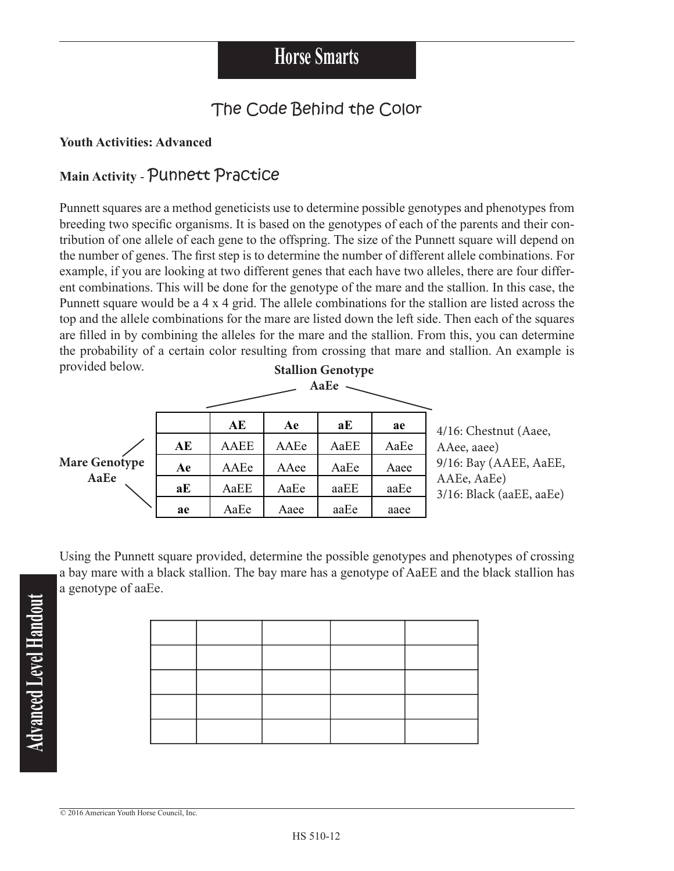# The Code Behind the Color

### **Youth Activities: Advanced**

### Main Activity - Punnett Practice

Punnett squares are a method geneticists use to determine possible genotypes and phenotypes from breeding two specific organisms. It is based on the genotypes of each of the parents and their contribution of one allele of each gene to the offspring. The size of the Punnett square will depend on the number of genes. The first step is to determine the number of different allele combinations. For example, if you are looking at two different genes that each have two alleles, there are four different combinations. This will be done for the genotype of the mare and the stallion. In this case, the Punnett square would be a 4 x 4 grid. The allele combinations for the stallion are listed across the top and the allele combinations for the mare are listed down the left side. Then each of the squares are filled in by combining the alleles for the mare and the stallion. From this, you can determine the probability of a certain color resulting from crossing that mare and stallion. An example is provided below. **Stallion Genotype** 



Using the Punnett square provided, determine the possible genotypes and phenotypes of crossing a bay mare with a black stallion. The bay mare has a genotype of AaEE and the black stallion has a genotype of aaEe.

Advanced Level Handout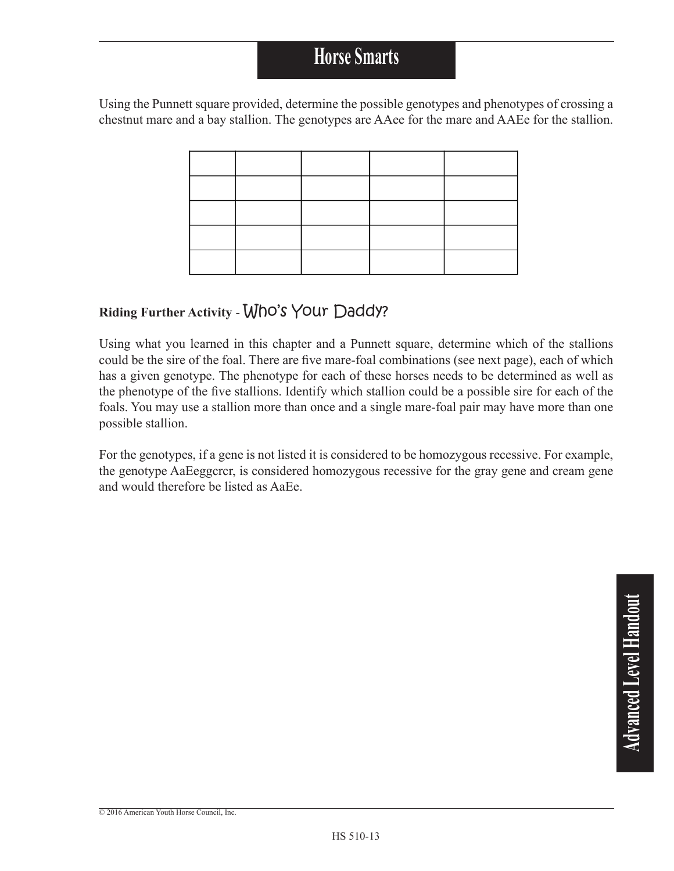Using the Punnett square provided, determine the possible genotypes and phenotypes of crossing a chestnut mare and a bay stallion. The genotypes are AAee for the mare and AAEe for the stallion.

### **Riding Further Activity** - Who's Your Daddy?

Using what you learned in this chapter and a Punnett square, determine which of the stallions could be the sire of the foal. There are five mare-foal combinations (see next page), each of which has a given genotype. The phenotype for each of these horses needs to be determined as well as the phenotype of the five stallions. Identify which stallion could be a possible sire for each of the foals. You may use a stallion more than once and a single mare-foal pair may have more than one possible stallion.

For the genotypes, if a gene is not listed it is considered to be homozygous recessive. For example, the genotype AaEeggcrcr, is considered homozygous recessive for the gray gene and cream gene and would therefore be listed as AaEe.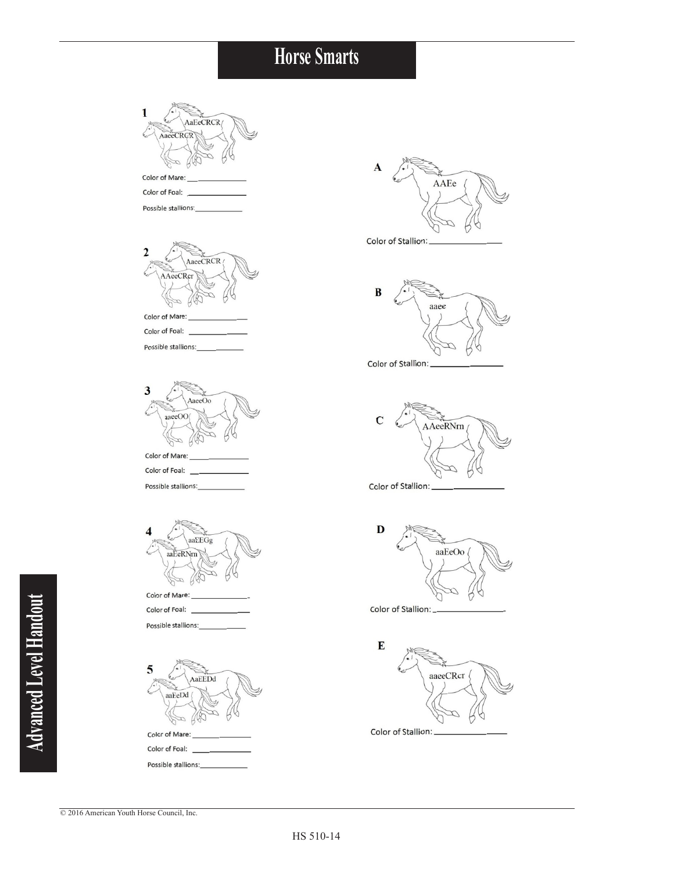

© 2016 American Youth Horse Council, Inc.